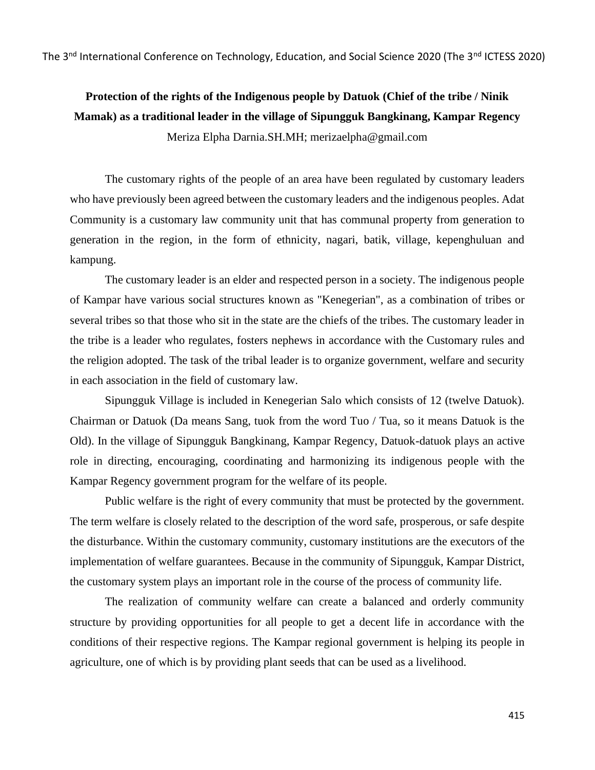The 3<sup>nd</sup> International Conference on Technology, Education, and Social Science 2020 (The 3<sup>nd</sup> ICTESS 2020)

# **Protection of the rights of the Indigenous people by Datuok (Chief of the tribe / Ninik Mamak) as a traditional leader in the village of Sipungguk Bangkinang, Kampar Regency** Meriza Elpha Darnia.SH.MH; merizaelpha@gmail.com

The customary rights of the people of an area have been regulated by customary leaders who have previously been agreed between the customary leaders and the indigenous peoples. Adat Community is a customary law community unit that has communal property from generation to generation in the region, in the form of ethnicity, nagari, batik, village, kepenghuluan and kampung.

The customary leader is an elder and respected person in a society. The indigenous people of Kampar have various social structures known as "Kenegerian", as a combination of tribes or several tribes so that those who sit in the state are the chiefs of the tribes. The customary leader in the tribe is a leader who regulates, fosters nephews in accordance with the Customary rules and the religion adopted. The task of the tribal leader is to organize government, welfare and security in each association in the field of customary law.

Sipungguk Village is included in Kenegerian Salo which consists of 12 (twelve Datuok). Chairman or Datuok (Da means Sang, tuok from the word Tuo / Tua, so it means Datuok is the Old). In the village of Sipungguk Bangkinang, Kampar Regency, Datuok-datuok plays an active role in directing, encouraging, coordinating and harmonizing its indigenous people with the Kampar Regency government program for the welfare of its people.

Public welfare is the right of every community that must be protected by the government. The term welfare is closely related to the description of the word safe, prosperous, or safe despite the disturbance. Within the customary community, customary institutions are the executors of the implementation of welfare guarantees. Because in the community of Sipungguk, Kampar District, the customary system plays an important role in the course of the process of community life.

The realization of community welfare can create a balanced and orderly community structure by providing opportunities for all people to get a decent life in accordance with the conditions of their respective regions. The Kampar regional government is helping its people in agriculture, one of which is by providing plant seeds that can be used as a livelihood.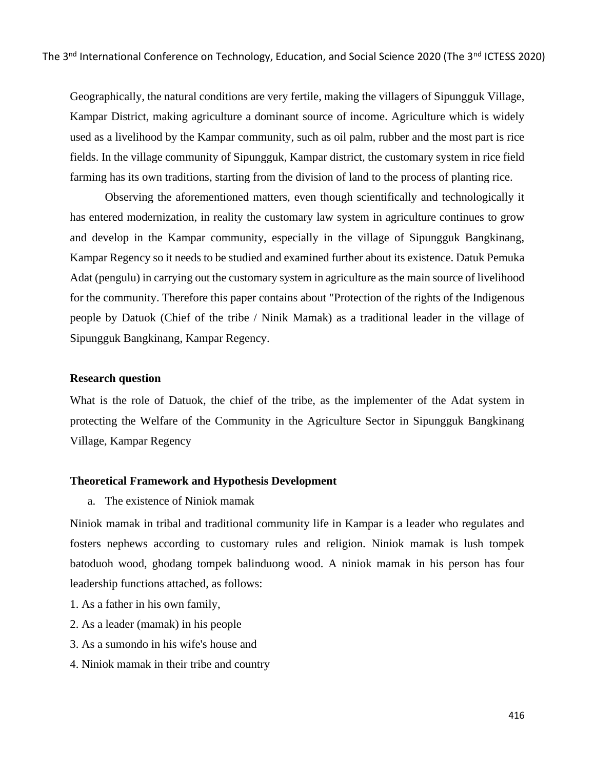Geographically, the natural conditions are very fertile, making the villagers of Sipungguk Village, Kampar District, making agriculture a dominant source of income. Agriculture which is widely used as a livelihood by the Kampar community, such as oil palm, rubber and the most part is rice fields. In the village community of Sipungguk, Kampar district, the customary system in rice field farming has its own traditions, starting from the division of land to the process of planting rice.

Observing the aforementioned matters, even though scientifically and technologically it has entered modernization, in reality the customary law system in agriculture continues to grow and develop in the Kampar community, especially in the village of Sipungguk Bangkinang, Kampar Regency so it needs to be studied and examined further about its existence. Datuk Pemuka Adat (pengulu) in carrying out the customary system in agriculture as the main source of livelihood for the community. Therefore this paper contains about "Protection of the rights of the Indigenous people by Datuok (Chief of the tribe / Ninik Mamak) as a traditional leader in the village of Sipungguk Bangkinang, Kampar Regency.

#### **Research question**

What is the role of Datuok, the chief of the tribe, as the implementer of the Adat system in protecting the Welfare of the Community in the Agriculture Sector in Sipungguk Bangkinang Village, Kampar Regency

#### **Theoretical Framework and Hypothesis Development**

a. The existence of Niniok mamak

Niniok mamak in tribal and traditional community life in Kampar is a leader who regulates and fosters nephews according to customary rules and religion. Niniok mamak is lush tompek batoduoh wood, ghodang tompek balinduong wood. A niniok mamak in his person has four leadership functions attached, as follows:

- 1. As a father in his own family,
- 2. As a leader (mamak) in his people
- 3. As a sumondo in his wife's house and
- 4. Niniok mamak in their tribe and country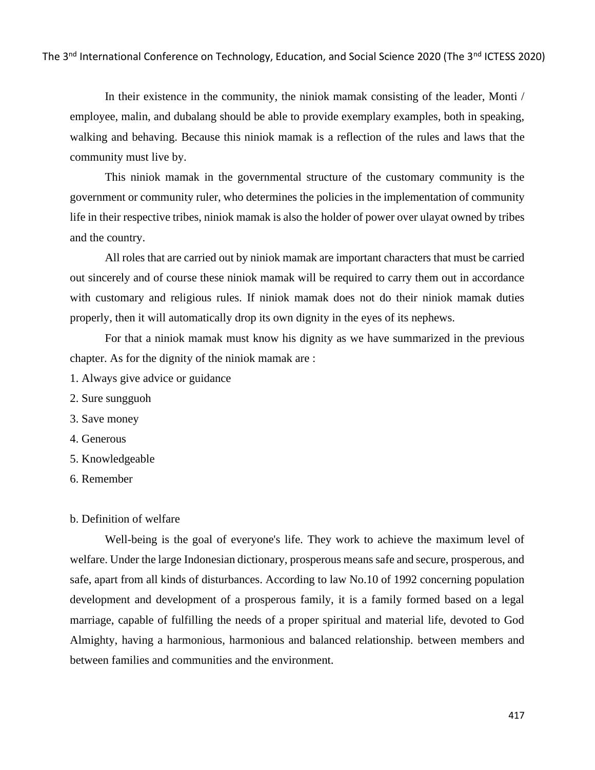In their existence in the community, the niniok mamak consisting of the leader, Monti / employee, malin, and dubalang should be able to provide exemplary examples, both in speaking, walking and behaving. Because this niniok mamak is a reflection of the rules and laws that the community must live by.

This niniok mamak in the governmental structure of the customary community is the government or community ruler, who determines the policies in the implementation of community life in their respective tribes, niniok mamak is also the holder of power over ulayat owned by tribes and the country.

All roles that are carried out by niniok mamak are important characters that must be carried out sincerely and of course these niniok mamak will be required to carry them out in accordance with customary and religious rules. If niniok mamak does not do their niniok mamak duties properly, then it will automatically drop its own dignity in the eyes of its nephews.

For that a niniok mamak must know his dignity as we have summarized in the previous chapter. As for the dignity of the niniok mamak are :

- 1. Always give advice or guidance
- 2. Sure sungguoh
- 3. Save money
- 4. Generous
- 5. Knowledgeable
- 6. Remember

# b. Definition of welfare

Well-being is the goal of everyone's life. They work to achieve the maximum level of welfare. Under the large Indonesian dictionary, prosperous means safe and secure, prosperous, and safe, apart from all kinds of disturbances. According to law No.10 of 1992 concerning population development and development of a prosperous family, it is a family formed based on a legal marriage, capable of fulfilling the needs of a proper spiritual and material life, devoted to God Almighty, having a harmonious, harmonious and balanced relationship. between members and between families and communities and the environment.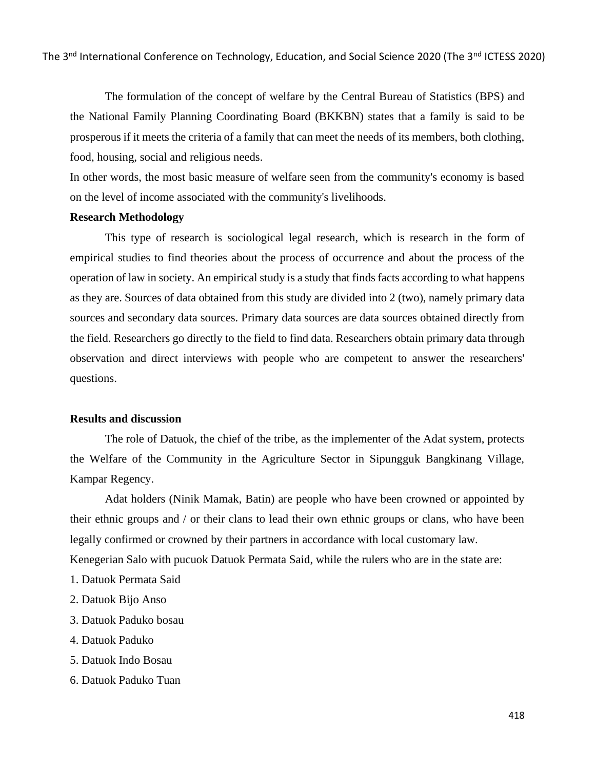The formulation of the concept of welfare by the Central Bureau of Statistics (BPS) and the National Family Planning Coordinating Board (BKKBN) states that a family is said to be prosperous if it meets the criteria of a family that can meet the needs of its members, both clothing, food, housing, social and religious needs.

In other words, the most basic measure of welfare seen from the community's economy is based on the level of income associated with the community's livelihoods.

### **Research Methodology**

This type of research is sociological legal research, which is research in the form of empirical studies to find theories about the process of occurrence and about the process of the operation of law in society. An empirical study is a study that finds facts according to what happens as they are. Sources of data obtained from this study are divided into 2 (two), namely primary data sources and secondary data sources. Primary data sources are data sources obtained directly from the field. Researchers go directly to the field to find data. Researchers obtain primary data through observation and direct interviews with people who are competent to answer the researchers' questions.

## **Results and discussion**

The role of Datuok, the chief of the tribe, as the implementer of the Adat system, protects the Welfare of the Community in the Agriculture Sector in Sipungguk Bangkinang Village, Kampar Regency.

Adat holders (Ninik Mamak, Batin) are people who have been crowned or appointed by their ethnic groups and / or their clans to lead their own ethnic groups or clans, who have been legally confirmed or crowned by their partners in accordance with local customary law. Kenegerian Salo with pucuok Datuok Permata Said, while the rulers who are in the state are:

- 1. Datuok Permata Said
- 2. Datuok Bijo Anso
- 3. Datuok Paduko bosau
- 4. Datuok Paduko
- 5. Datuok Indo Bosau
- 6. Datuok Paduko Tuan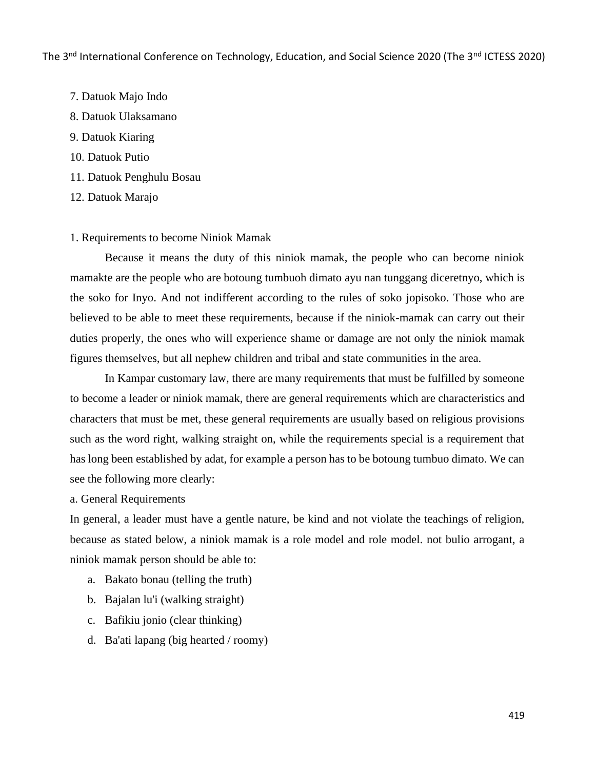- 7. Datuok Majo Indo
- 8. Datuok Ulaksamano
- 9. Datuok Kiaring
- 10. Datuok Putio
- 11. Datuok Penghulu Bosau
- 12. Datuok Marajo

## 1. Requirements to become Niniok Mamak

Because it means the duty of this niniok mamak, the people who can become niniok mamakte are the people who are botoung tumbuoh dimato ayu nan tunggang diceretnyo, which is the soko for Inyo. And not indifferent according to the rules of soko jopisoko. Those who are believed to be able to meet these requirements, because if the niniok-mamak can carry out their duties properly, the ones who will experience shame or damage are not only the niniok mamak figures themselves, but all nephew children and tribal and state communities in the area.

In Kampar customary law, there are many requirements that must be fulfilled by someone to become a leader or niniok mamak, there are general requirements which are characteristics and characters that must be met, these general requirements are usually based on religious provisions such as the word right, walking straight on, while the requirements special is a requirement that has long been established by adat, for example a person has to be botoung tumbuo dimato. We can see the following more clearly:

a. General Requirements

In general, a leader must have a gentle nature, be kind and not violate the teachings of religion, because as stated below, a niniok mamak is a role model and role model. not bulio arrogant, a niniok mamak person should be able to:

- a. Bakato bonau (telling the truth)
- b. Bajalan lu'i (walking straight)
- c. Bafikiu jonio (clear thinking)
- d. Ba'ati lapang (big hearted / roomy)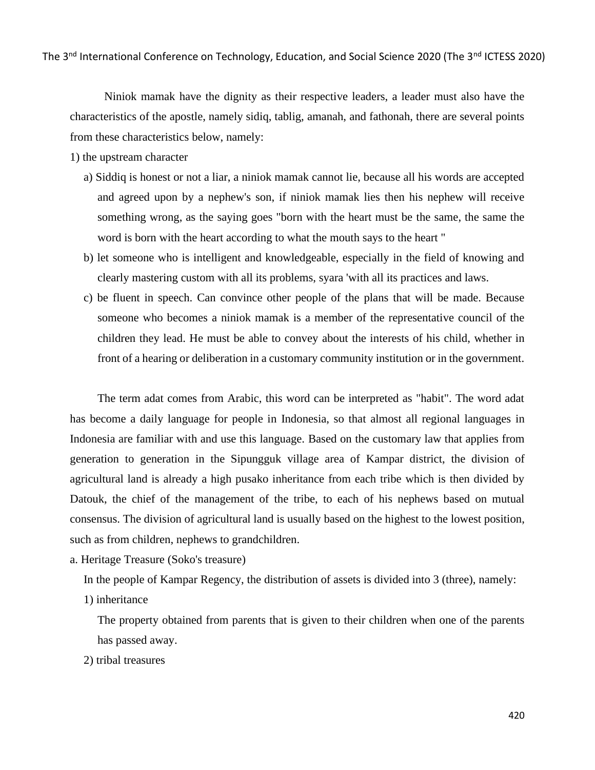Niniok mamak have the dignity as their respective leaders, a leader must also have the characteristics of the apostle, namely sidiq, tablig, amanah, and fathonah, there are several points from these characteristics below, namely:

- 1) the upstream character
	- a) Siddiq is honest or not a liar, a niniok mamak cannot lie, because all his words are accepted and agreed upon by a nephew's son, if niniok mamak lies then his nephew will receive something wrong, as the saying goes "born with the heart must be the same, the same the word is born with the heart according to what the mouth says to the heart "
	- b) let someone who is intelligent and knowledgeable, especially in the field of knowing and clearly mastering custom with all its problems, syara 'with all its practices and laws.
	- c) be fluent in speech. Can convince other people of the plans that will be made. Because someone who becomes a niniok mamak is a member of the representative council of the children they lead. He must be able to convey about the interests of his child, whether in front of a hearing or deliberation in a customary community institution or in the government.

The term adat comes from Arabic, this word can be interpreted as "habit". The word adat has become a daily language for people in Indonesia, so that almost all regional languages in Indonesia are familiar with and use this language. Based on the customary law that applies from generation to generation in the Sipungguk village area of Kampar district, the division of agricultural land is already a high pusako inheritance from each tribe which is then divided by Datouk, the chief of the management of the tribe, to each of his nephews based on mutual consensus. The division of agricultural land is usually based on the highest to the lowest position, such as from children, nephews to grandchildren.

a. Heritage Treasure (Soko's treasure)

In the people of Kampar Regency, the distribution of assets is divided into 3 (three), namely:

1) inheritance

The property obtained from parents that is given to their children when one of the parents has passed away.

2) tribal treasures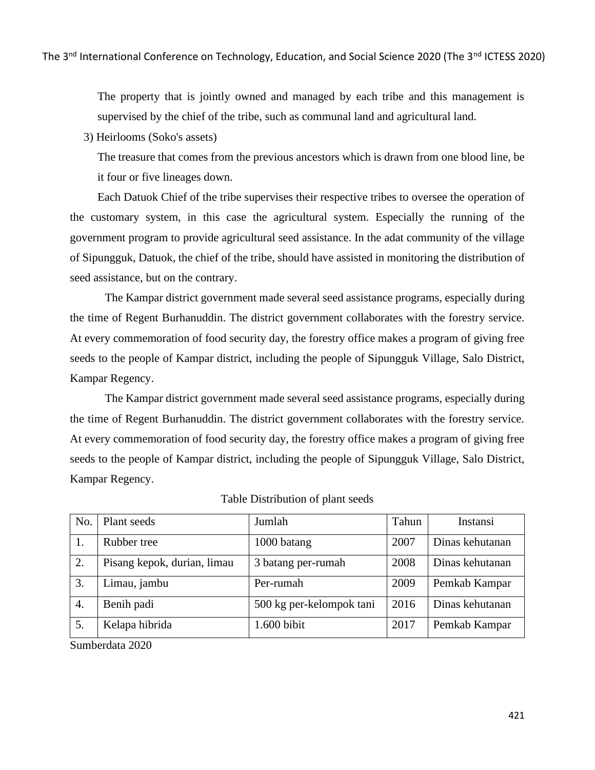The property that is jointly owned and managed by each tribe and this management is supervised by the chief of the tribe, such as communal land and agricultural land.

3) Heirlooms (Soko's assets)

The treasure that comes from the previous ancestors which is drawn from one blood line, be it four or five lineages down.

Each Datuok Chief of the tribe supervises their respective tribes to oversee the operation of the customary system, in this case the agricultural system. Especially the running of the government program to provide agricultural seed assistance. In the adat community of the village of Sipungguk, Datuok, the chief of the tribe, should have assisted in monitoring the distribution of seed assistance, but on the contrary.

The Kampar district government made several seed assistance programs, especially during the time of Regent Burhanuddin. The district government collaborates with the forestry service. At every commemoration of food security day, the forestry office makes a program of giving free seeds to the people of Kampar district, including the people of Sipungguk Village, Salo District, Kampar Regency.

The Kampar district government made several seed assistance programs, especially during the time of Regent Burhanuddin. The district government collaborates with the forestry service. At every commemoration of food security day, the forestry office makes a program of giving free seeds to the people of Kampar district, including the people of Sipungguk Village, Salo District, Kampar Regency.

| No. | Plant seeds                 | Jumlah                   | Tahun | Instansi        |
|-----|-----------------------------|--------------------------|-------|-----------------|
| 1.  | Rubber tree                 | 1000 batang              | 2007  | Dinas kehutanan |
| 2.  | Pisang kepok, durian, limau | 3 batang per-rumah       | 2008  | Dinas kehutanan |
| 3.  | Limau, jambu                | Per-rumah                | 2009  | Pemkab Kampar   |
| 4.  | Benih padi                  | 500 kg per-kelompok tani | 2016  | Dinas kehutanan |
| 5.  | Kelapa hibrida              | 1.600 bibit              | 2017  | Pemkab Kampar   |

# Table Distribution of plant seeds

Sumberdata 2020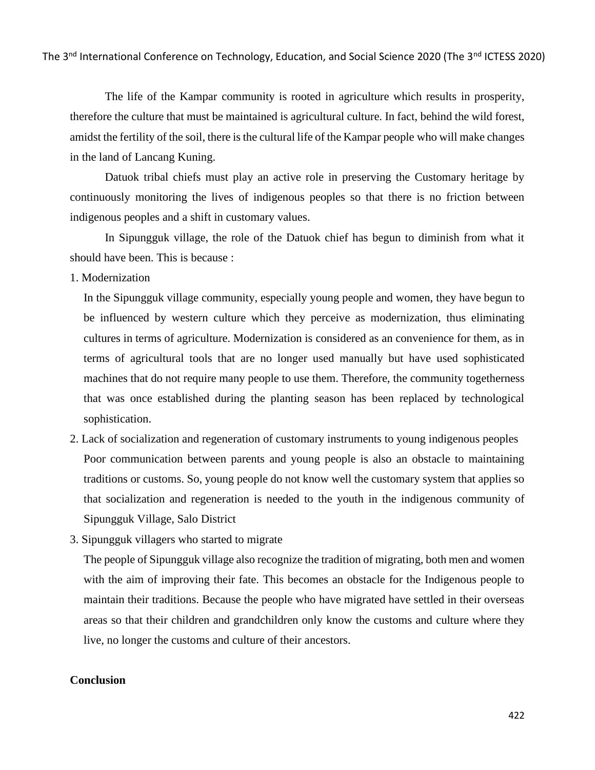The life of the Kampar community is rooted in agriculture which results in prosperity, therefore the culture that must be maintained is agricultural culture. In fact, behind the wild forest, amidst the fertility of the soil, there is the cultural life of the Kampar people who will make changes in the land of Lancang Kuning.

Datuok tribal chiefs must play an active role in preserving the Customary heritage by continuously monitoring the lives of indigenous peoples so that there is no friction between indigenous peoples and a shift in customary values.

In Sipungguk village, the role of the Datuok chief has begun to diminish from what it should have been. This is because :

1. Modernization

In the Sipungguk village community, especially young people and women, they have begun to be influenced by western culture which they perceive as modernization, thus eliminating cultures in terms of agriculture. Modernization is considered as an convenience for them, as in terms of agricultural tools that are no longer used manually but have used sophisticated machines that do not require many people to use them. Therefore, the community togetherness that was once established during the planting season has been replaced by technological sophistication.

- 2. Lack of socialization and regeneration of customary instruments to young indigenous peoples Poor communication between parents and young people is also an obstacle to maintaining traditions or customs. So, young people do not know well the customary system that applies so that socialization and regeneration is needed to the youth in the indigenous community of Sipungguk Village, Salo District
- 3. Sipungguk villagers who started to migrate

The people of Sipungguk village also recognize the tradition of migrating, both men and women with the aim of improving their fate. This becomes an obstacle for the Indigenous people to maintain their traditions. Because the people who have migrated have settled in their overseas areas so that their children and grandchildren only know the customs and culture where they live, no longer the customs and culture of their ancestors.

# **Conclusion**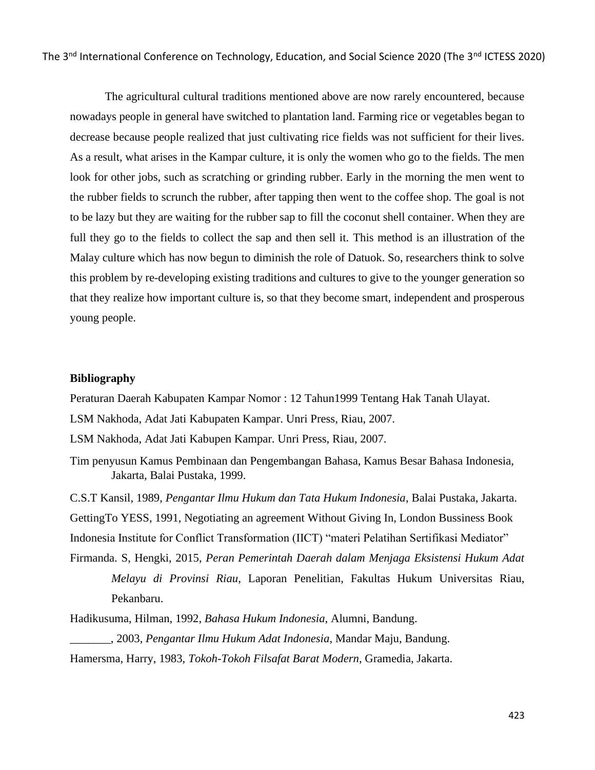The agricultural cultural traditions mentioned above are now rarely encountered, because nowadays people in general have switched to plantation land. Farming rice or vegetables began to decrease because people realized that just cultivating rice fields was not sufficient for their lives. As a result, what arises in the Kampar culture, it is only the women who go to the fields. The men look for other jobs, such as scratching or grinding rubber. Early in the morning the men went to the rubber fields to scrunch the rubber, after tapping then went to the coffee shop. The goal is not to be lazy but they are waiting for the rubber sap to fill the coconut shell container. When they are full they go to the fields to collect the sap and then sell it. This method is an illustration of the Malay culture which has now begun to diminish the role of Datuok. So, researchers think to solve this problem by re-developing existing traditions and cultures to give to the younger generation so that they realize how important culture is, so that they become smart, independent and prosperous young people.

#### **Bibliography**

Peraturan Daerah Kabupaten Kampar Nomor : 12 Tahun1999 Tentang Hak Tanah Ulayat.

LSM Nakhoda, Adat Jati Kabupaten Kampar. Unri Press, Riau, 2007.

LSM Nakhoda, Adat Jati Kabupen Kampar. Unri Press, Riau, 2007.

Tim penyusun Kamus Pembinaan dan Pengembangan Bahasa, Kamus Besar Bahasa Indonesia, Jakarta, Balai Pustaka, 1999.

C.S.T Kansil, 1989, *Pengantar Ilmu Hukum dan Tata Hukum Indonesia*, Balai Pustaka, Jakarta. GettingTo YESS, 1991, Negotiating an agreement Without Giving In, London Bussiness Book

Indonesia Institute for Conflict Transformation (IICT) "materi Pelatihan Sertifikasi Mediator"

Firmanda. S, Hengki, 2015, *Peran Pemerintah Daerah dalam Menjaga Eksistensi Hukum Adat Melayu di Provinsi Riau*, Laporan Penelitian, Fakultas Hukum Universitas Riau, Pekanbaru.

Hadikusuma, Hilman, 1992, *Bahasa Hukum Indonesia*, Alumni, Bandung. \_\_\_\_\_\_\_, 2003, *Pengantar Ilmu Hukum Adat Indonesia*, Mandar Maju, Bandung. Hamersma, Harry, 1983, *Tokoh-Tokoh Filsafat Barat Modern*, Gramedia, Jakarta.